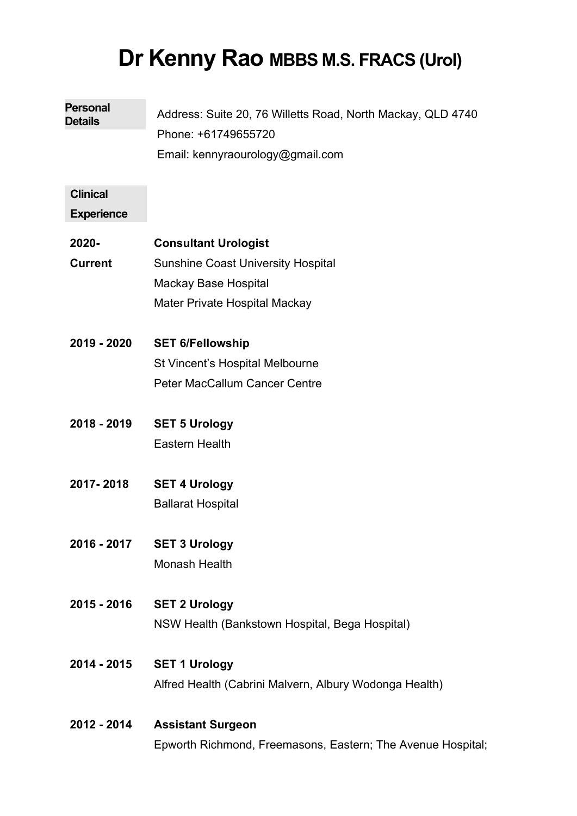# **Dr Kenny Rao MBBS M.S. FRACS (Urol)**

| <b>Personal</b><br><b>Details</b>    | Address: Suite 20, 76 Willetts Road, North Mackay, QLD 4740<br>Phone: +61749655720 |
|--------------------------------------|------------------------------------------------------------------------------------|
|                                      | Email: kennyraourology@gmail.com                                                   |
| <b>Clinical</b><br><b>Experience</b> |                                                                                    |
| 2020-                                | <b>Consultant Urologist</b>                                                        |
| <b>Current</b>                       | <b>Sunshine Coast University Hospital</b>                                          |
|                                      | <b>Mackay Base Hospital</b>                                                        |
|                                      | Mater Private Hospital Mackay                                                      |
| 2019 - 2020                          | <b>SET 6/Fellowship</b>                                                            |
|                                      | St Vincent's Hospital Melbourne                                                    |
|                                      | <b>Peter MacCallum Cancer Centre</b>                                               |
| 2018 - 2019                          | <b>SET 5 Urology</b>                                                               |
|                                      | <b>Eastern Health</b>                                                              |
| 2017-2018                            | <b>SET 4 Urology</b>                                                               |
|                                      | <b>Ballarat Hospital</b>                                                           |
| 2016 - 2017                          | <b>SET 3 Urology</b>                                                               |
|                                      | Monash Health                                                                      |
| 2015 - 2016                          | <b>SET 2 Urology</b>                                                               |
|                                      | NSW Health (Bankstown Hospital, Bega Hospital)                                     |
| 2014 - 2015                          | <b>SET 1 Urology</b>                                                               |
|                                      | Alfred Health (Cabrini Malvern, Albury Wodonga Health)                             |
| 2012 - 2014                          | <b>Assistant Surgeon</b>                                                           |
|                                      | Epworth Richmond, Freemasons, Eastern; The Avenue Hospital;                        |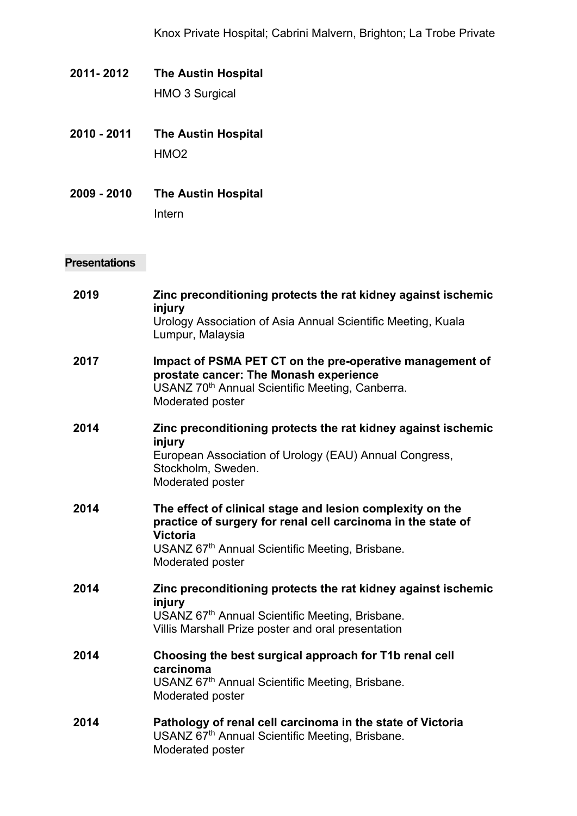- **2011- 2012 The Austin Hospital** HMO 3 Surgical
- **2010 - 2011 The Austin Hospital** HMO2
- **2009 - 2010 The Austin Hospital**

Intern

## **Presentations**

| 2019 | Zinc preconditioning protects the rat kidney against ischemic<br>injury<br>Urology Association of Asia Annual Scientific Meeting, Kuala<br>Lumpur, Malaysia                                                         |
|------|---------------------------------------------------------------------------------------------------------------------------------------------------------------------------------------------------------------------|
| 2017 | Impact of PSMA PET CT on the pre-operative management of<br>prostate cancer: The Monash experience<br>USANZ 70 <sup>th</sup> Annual Scientific Meeting, Canberra.<br>Moderated poster                               |
| 2014 | Zinc preconditioning protects the rat kidney against ischemic<br>injury<br>European Association of Urology (EAU) Annual Congress,<br>Stockholm, Sweden.<br>Moderated poster                                         |
| 2014 | The effect of clinical stage and lesion complexity on the<br>practice of surgery for renal cell carcinoma in the state of<br><b>Victoria</b><br>USANZ 67th Annual Scientific Meeting, Brisbane.<br>Moderated poster |
| 2014 | Zinc preconditioning protects the rat kidney against ischemic<br>injury<br>USANZ 67th Annual Scientific Meeting, Brisbane.<br>Villis Marshall Prize poster and oral presentation                                    |
| 2014 | Choosing the best surgical approach for T1b renal cell<br>carcinoma<br>USANZ 67th Annual Scientific Meeting, Brisbane.<br>Moderated poster                                                                          |
| 2014 | Pathology of renal cell carcinoma in the state of Victoria<br>USANZ 67th Annual Scientific Meeting, Brisbane.<br>Moderated poster                                                                                   |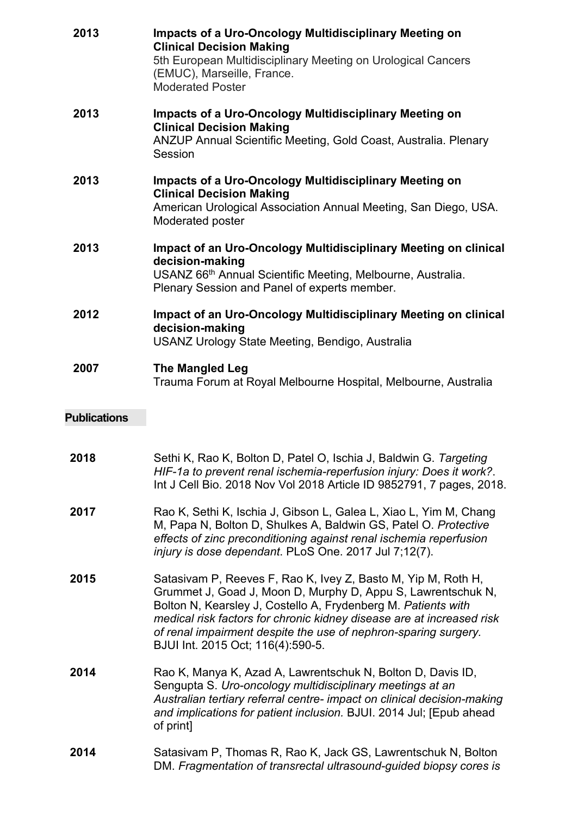| 2013 | <b>Impacts of a Uro-Oncology Multidisciplinary Meeting on</b><br><b>Clinical Decision Making</b><br>5th European Multidisciplinary Meeting on Urological Cancers<br>(EMUC), Marseille, France.<br><b>Moderated Poster</b> |
|------|---------------------------------------------------------------------------------------------------------------------------------------------------------------------------------------------------------------------------|
| 2013 | <b>Impacts of a Uro-Oncology Multidisciplinary Meeting on</b><br><b>Clinical Decision Making</b><br>ANZUP Annual Scientific Meeting, Gold Coast, Australia. Plenary<br>Session                                            |
| 2013 | <b>Impacts of a Uro-Oncology Multidisciplinary Meeting on</b><br><b>Clinical Decision Making</b><br>American Urological Association Annual Meeting, San Diego, USA.<br>Moderated poster                                   |
| 2013 | Impact of an Uro-Oncology Multidisciplinary Meeting on clinical<br>decision-making<br>USANZ 66 <sup>th</sup> Annual Scientific Meeting, Melbourne, Australia.<br>Plenary Session and Panel of experts member.             |
| 2012 | Impact of an Uro-Oncology Multidisciplinary Meeting on clinical<br>decision-making<br>USANZ Urology State Meeting, Bendigo, Australia                                                                                     |
| 2007 | <b>The Mangled Leg</b><br>Trauma Forum at Royal Melbourne Hospital, Melbourne, Australia                                                                                                                                  |

# **Publications**

| 2018 | Sethi K, Rao K, Bolton D, Patel O, Ischia J, Baldwin G. Targeting<br>HIF-1a to prevent renal ischemia-reperfusion injury: Does it work?.<br>Int J Cell Bio. 2018 Nov Vol 2018 Article ID 9852791, 7 pages, 2018.                                                                                                                                                                |
|------|---------------------------------------------------------------------------------------------------------------------------------------------------------------------------------------------------------------------------------------------------------------------------------------------------------------------------------------------------------------------------------|
| 2017 | Rao K, Sethi K, Ischia J, Gibson L, Galea L, Xiao L, Yim M, Chang<br>M, Papa N, Bolton D, Shulkes A, Baldwin GS, Patel O. Protective<br>effects of zinc preconditioning against renal ischemia reperfusion<br>injury is dose dependant. PLoS One. 2017 Jul 7;12(7).                                                                                                             |
| 2015 | Satasivam P, Reeves F, Rao K, Ivey Z, Basto M, Yip M, Roth H,<br>Grummet J, Goad J, Moon D, Murphy D, Appu S, Lawrentschuk N,<br>Bolton N, Kearsley J, Costello A, Frydenberg M. Patients with<br>medical risk factors for chronic kidney disease are at increased risk<br>of renal impairment despite the use of nephron-sparing surgery.<br>BJUI Int. 2015 Oct; 116(4):590-5. |
| 2014 | Rao K, Manya K, Azad A, Lawrentschuk N, Bolton D, Davis ID,<br>Sengupta S. Uro-oncology multidisciplinary meetings at an<br>Australian tertiary referral centre- impact on clinical decision-making<br>and implications for patient inclusion. BJUI. 2014 Jul; [Epub ahead<br>of print]                                                                                         |
| 2014 | Satasivam P, Thomas R, Rao K, Jack GS, Lawrentschuk N, Bolton<br>DM. Fragmentation of transrectal ultrasound-guided biopsy cores is                                                                                                                                                                                                                                             |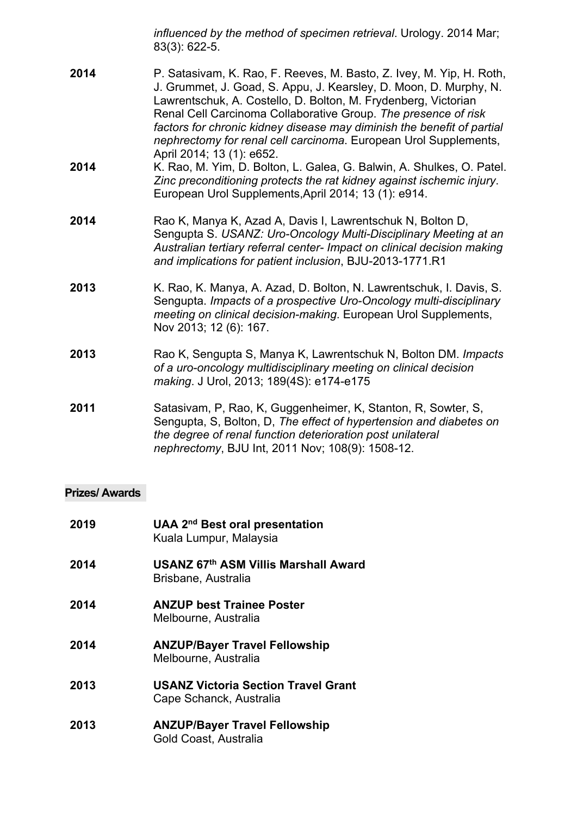*influenced by the method of specimen retrieval*. Urology. 2014 Mar; 83(3): 622-5.

- **2014** P. Satasivam, K. Rao, F. Reeves, M. Basto, Z. Ivey, M. Yip, H. Roth, J. Grummet, J. Goad, S. Appu, J. Kearsley, D. Moon, D. Murphy, N. Lawrentschuk, A. Costello, D. Bolton, M. Frydenberg, Victorian Renal Cell Carcinoma Collaborative Group. *The presence of risk factors for chronic kidney disease may diminish the benefit of partial nephrectomy for renal cell carcinoma*. European Urol Supplements, April 2014; 13 (1): e652.
- **2014** K. Rao, M. Yim, D. Bolton, L. Galea, G. Balwin, A. Shulkes, O. Patel. *Zinc preconditioning protects the rat kidney against ischemic injury*. European Urol Supplements,April 2014; 13 (1): e914.
- **2014** Rao K, Manya K, Azad A, Davis I, Lawrentschuk N, Bolton D, Sengupta S. *USANZ: Uro-Oncology Multi-Disciplinary Meeting at an Australian tertiary referral center- Impact on clinical decision making and implications for patient inclusion*, BJU-2013-1771.R1
- **2013** K. Rao, K. Manya, A. Azad, D. Bolton, N. Lawrentschuk, I. Davis, S. Sengupta. *Impacts of a prospective Uro-Oncology multi-disciplinary meeting on clinical decision-making*. European Urol Supplements, Nov 2013; 12 (6): 167.
- **2013** Rao K, Sengupta S, Manya K, Lawrentschuk N, Bolton DM. *Impacts of a uro-oncology multidisciplinary meeting on clinical decision making*. J Urol, 2013; 189(4S): e174-e175
- **2011** Satasivam, P, Rao, K, Guggenheimer, K, Stanton, R, Sowter, S, Sengupta, S, Bolton, D, *The effect of hypertension and diabetes on the degree of renal function deterioration post unilateral nephrectomy*, BJU Int, 2011 Nov; 108(9): 1508-12.

#### **Prizes/ Awards**

| 2019 | <b>UAA 2<sup>nd</sup> Best oral presentation</b><br>Kuala Lumpur, Malaysia |
|------|----------------------------------------------------------------------------|
| 2014 | USANZ 67th ASM Villis Marshall Award<br>Brisbane, Australia                |
| 2014 | <b>ANZUP best Trainee Poster</b><br>Melbourne, Australia                   |
| 2014 | <b>ANZUP/Bayer Travel Fellowship</b><br>Melbourne, Australia               |
| 2013 | <b>USANZ Victoria Section Travel Grant</b><br>Cape Schanck, Australia      |
| 2013 | <b>ANZUP/Bayer Travel Fellowship</b><br>Gold Coast, Australia              |